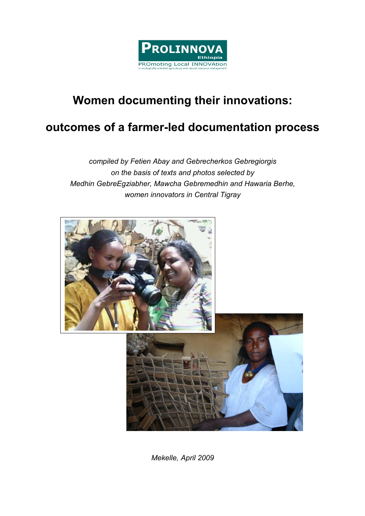

# Women documenting their innovations:

# outcomes of a farmer-led documentation process

compiled by Fetien Abay and Gebrecherkos Gebregiorgis on the basis of texts and photos selected by Medhin GebreEgziabher, Mawcha Gebremedhin and Hawaria Berhe, women innovators in Central Tigray



Mekelle, April 2009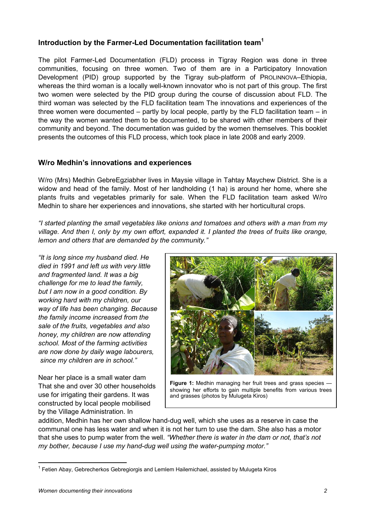# Introduction by the Farmer-Led Documentation facilitation team<sup>1</sup>

The pilot Farmer-Led Documentation (FLD) process in Tigray Region was done in three communities, focusing on three women. Two of them are in a Participatory Innovation Development (PID) group supported by the Tigray sub-platform of PROLINNOVA–Ethiopia, whereas the third woman is a locally well-known innovator who is not part of this group. The first two women were selected by the PID group during the course of discussion about FLD. The third woman was selected by the FLD facilitation team The innovations and experiences of the three women were documented – partly by local people, partly by the FLD facilitation team – in the way the women wanted them to be documented, to be shared with other members of their community and beyond. The documentation was guided by the women themselves. This booklet presents the outcomes of this FLD process, which took place in late 2008 and early 2009.

## W/ro Medhin's innovations and experiences

W/ro (Mrs) Medhin GebreEgziabher lives in Maysie village in Tahtay Maychew District. She is a widow and head of the family. Most of her landholding (1 ha) is around her home, where she plants fruits and vegetables primarily for sale. When the FLD facilitation team asked W/ro Medhin to share her experiences and innovations, she started with her horticultural crops.

"I started planting the small vegetables like onions and tomatoes and others with a man from my village. And then I, only by my own effort, expanded it. I planted the trees of fruits like orange, lemon and others that are demanded by the community."

"It is long since my husband died. He died in 1991 and left us with very little and fragmented land. It was a big challenge for me to lead the family, but I am now in a good condition. By working hard with my children, our way of life has been changing. Because the family income increased from the sale of the fruits, vegetables and also honey, my children are now attending school. Most of the farming activities are now done by daily wage labourers, since my children are in school."

Near her place is a small water dam That she and over 30 other households use for irrigating their gardens. It was constructed by local people mobilised by the Village Administration. In



Figure 1: Medhin managing her fruit trees and grass species showing her efforts to gain multiple benefits from various trees and grasses (photos by Mulugeta Kiros)

addition, Medhin has her own shallow hand-dug well, which she uses as a reserve in case the communal one has less water and when it is not her turn to use the dam. She also has a motor that she uses to pump water from the well. "Whether there is water in the dam or not, that's not my bother, because I use my hand-dug well using the water-pumping motor."

 $\overline{a}$ 

<sup>&</sup>lt;sup>1</sup> Fetien Abay, Gebrecherkos Gebregiorgis and Lemlem Hailemichael, assisted by Mulugeta Kiros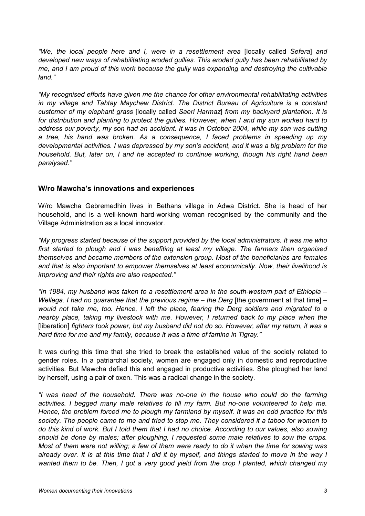"We, the local people here and I, were in a resettlement area [locally called Sefera] and developed new ways of rehabilitating eroded gullies. This eroded gully has been rehabilitated by me, and I am proud of this work because the gully was expanding and destroying the cultivable land."

"My recognised efforts have given me the chance for other environmental rehabilitating activities in my village and Tahtay Maychew District. The District Bureau of Agriculture is a constant customer of my elephant grass [locally called Saeri Harmaz] from my backyard plantation. It is for distribution and planting to protect the gullies. However, when I and my son worked hard to address our poverty, my son had an accident. It was in October 2004, while my son was cutting a tree, his hand was broken. As a consequence, I faced problems in speeding up my developmental activities. I was depressed by my son's accident, and it was a big problem for the household. But, later on, I and he accepted to continue working, though his right hand been paralysed."

### W/ro Mawcha's innovations and experiences

W/ro Mawcha Gebremedhin lives in Bethans village in Adwa District. She is head of her household, and is a well-known hard-working woman recognised by the community and the Village Administration as a local innovator.

"My progress started because of the support provided by the local administrators. It was me who first started to plough and I was benefiting at least my village. The farmers then organised themselves and became members of the extension group. Most of the beneficiaries are females and that is also important to empower themselves at least economically. Now, their livelihood is improving and their rights are also respected."

"In 1984, my husband was taken to a resettlement area in the south-western part of Ethiopia – Wellega. I had no quarantee that the previous regime  $-$  the Derg [the government at that time]  $$ would not take me, too. Hence, I left the place, fearing the Derg soldiers and migrated to a nearby place, taking my livestock with me. However, I returned back to my place when the [liberation] fighters took power, but my husband did not do so. However, after my return, it was a hard time for me and my family, because it was a time of famine in Tigray."

It was during this time that she tried to break the established value of the society related to gender roles. In a patriarchal society, women are engaged only in domestic and reproductive activities. But Mawcha defied this and engaged in productive activities. She ploughed her land by herself, using a pair of oxen. This was a radical change in the society.

"I was head of the household. There was no-one in the house who could do the farming activities. I begged many male relatives to till my farm. But no-one volunteered to help me. Hence, the problem forced me to plough my farmland by myself. It was an odd practice for this society. The people came to me and tried to stop me. They considered it a taboo for women to do this kind of work. But I told them that I had no choice. According to our values, also sowing should be done by males; after ploughing, I requested some male relatives to sow the crops. Most of them were not willing; a few of them were ready to do it when the time for sowing was already over. It is at this time that I did it by myself, and things started to move in the way I wanted them to be. Then, I got a very good yield from the crop I planted, which changed my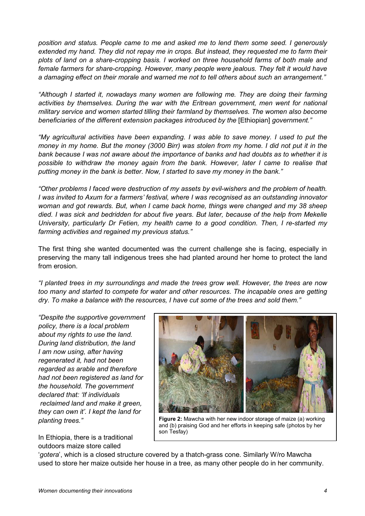position and status. People came to me and asked me to lend them some seed. I generously extended my hand. They did not repay me in crops. But instead, they requested me to farm their plots of land on a share-cropping basis. I worked on three household farms of both male and female farmers for share-cropping. However, many people were jealous. They felt it would have a damaging effect on their morale and warned me not to tell others about such an arrangement."

"Although I started it, nowadays many women are following me. They are doing their farming activities by themselves. During the war with the Eritrean government, men went for national military service and women started tilling their farmland by themselves. The women also become beneficiaries of the different extension packages introduced by the [Ethiopian] government."

"My agricultural activities have been expanding. I was able to save money. I used to put the money in my home. But the money (3000 Birr) was stolen from my home. I did not put it in the bank because I was not aware about the importance of banks and had doubts as to whether it is possible to withdraw the money again from the bank. However, later I came to realise that putting money in the bank is better. Now, I started to save my money in the bank."

"Other problems I faced were destruction of my assets by evil-wishers and the problem of health. I was invited to Axum for a farmers' festival, where I was recognised as an outstanding innovator woman and got rewards. But, when I came back home, things were changed and my 38 sheep died. I was sick and bedridden for about five years. But later, because of the help from Mekelle University, particularly Dr Fetien, my health came to a good condition. Then, I re-started my farming activities and regained my previous status."

The first thing she wanted documented was the current challenge she is facing, especially in preserving the many tall indigenous trees she had planted around her home to protect the land from erosion.

"I planted trees in my surroundings and made the trees grow well. However, the trees are now too many and started to compete for water and other resources. The incapable ones are getting dry. To make a balance with the resources, I have cut some of the trees and sold them."

"Despite the supportive government policy, there is a local problem about my rights to use the land. During land distribution, the land I am now using, after having regenerated it, had not been regarded as arable and therefore had not been registered as land for the household. The government declared that: 'If individuals reclaimed land and make it green, they can own it'. I kept the land for planting trees."

In Ethiopia, there is a traditional outdoors maize store called



Figure 2: Mawcha with her new indoor storage of maize (a) working and (b) praising God and her efforts in keeping safe (photos by her son Tesfay)

'gotera', which is a closed structure covered by a thatch-grass cone. Similarly W/ro Mawcha used to store her maize outside her house in a tree, as many other people do in her community.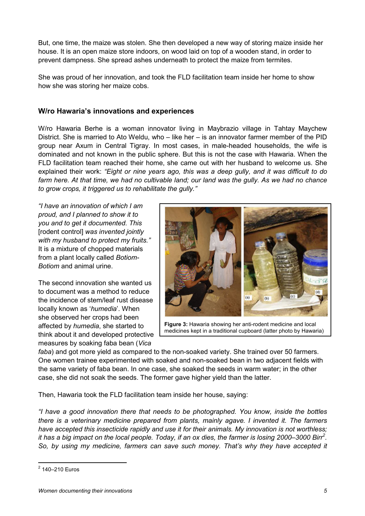But, one time, the maize was stolen. She then developed a new way of storing maize inside her house. It is an open maize store indoors, on wood laid on top of a wooden stand, in order to prevent dampness. She spread ashes underneath to protect the maize from termites.

She was proud of her innovation, and took the FLD facilitation team inside her home to show how she was storing her maize cobs.

### W/ro Hawaria's innovations and experiences

W/ro Hawaria Berhe is a woman innovator living in Maybrazio village in Tahtay Maychew District. She is married to Ato Weldu, who – like her – is an innovator farmer member of the PID group near Axum in Central Tigray. In most cases, in male-headed households, the wife is dominated and not known in the public sphere. But this is not the case with Hawaria. When the FLD facilitation team reached their home, she came out with her husband to welcome us. She explained their work: "Eight or nine years ago, this was a deep gully, and it was difficult to do farm here. At that time, we had no cultivable land; our land was the gully. As we had no chance to grow crops, it triggered us to rehabilitate the gully."

"I have an innovation of which I am proud, and I planned to show it to you and to get it documented. This [rodent control] was invented jointly with my husband to protect my fruits." It is a mixture of chopped materials from a plant locally called Botiom-Botiom and animal urine.

The second innovation she wanted us to document was a method to reduce the incidence of stem/leaf rust disease locally known as 'humedia'. When she observed her crops had been affected by humedia, she started to think about it and developed protective measures by soaking faba bean (Vica



Figure 3: Hawaria showing her anti-rodent medicine and local medicines kept in a traditional cupboard (latter photo by Hawaria)

faba) and got more yield as compared to the non-soaked variety. She trained over 50 farmers. One women trainee experimented with soaked and non-soaked bean in two adjacent fields with the same variety of faba bean. In one case, she soaked the seeds in warm water; in the other case, she did not soak the seeds. The former gave higher yield than the latter.

Then, Hawaria took the FLD facilitation team inside her house, saying:

"I have a good innovation there that needs to be photographed. You know, inside the bottles there is a veterinary medicine prepared from plants, mainly agave. I invented it. The farmers have accepted this insecticide rapidly and use it for their animals. My innovation is not worthless; it has a big impact on the local people. Today, if an ox dies, the farmer is losing 2000–3000 Birr<sup>2</sup>. So, by using my medicine, farmers can save such money. That's why they have accepted it

 $\overline{a}$ 

<sup>2</sup> 140–210 Euros